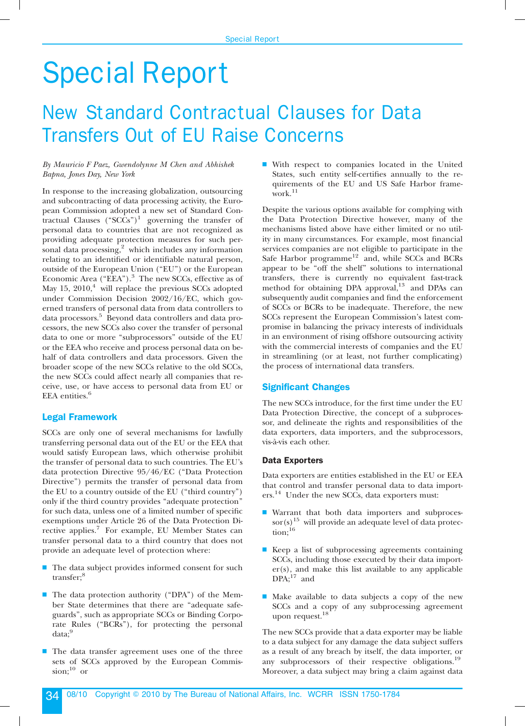# Special Report

# New Standard Contractual Clauses for Data Transfers Out of EU Raise Concerns

# *By Mauricio F Paez, Gwendolynne M Chen and Abhishek Bapna, Jones Day, New York*

In response to the increasing globalization, outsourcing and subcontracting of data processing activity, the European Commission adopted a new set of Standard Contractual Clauses (" $SCCs$ ")<sup>1</sup> governing the transfer of personal data to countries that are not recognized as providing adequate protection measures for such personal data processing, $2$  which includes any information relating to an identified or identifiable natural person, outside of the European Union ("EU") or the European Economic Area ("EEA").<sup>3</sup> The new SCCs, effective as of May 15,  $2010<sup>4</sup>$  will replace the previous SCCs adopted under Commission Decision 2002/16/EC, which governed transfers of personal data from data controllers to data processors.<sup>5</sup> Beyond data controllers and data processors, the new SCCs also cover the transfer of personal data to one or more ''subprocessors'' outside of the EU or the EEA who receive and process personal data on behalf of data controllers and data processors. Given the broader scope of the new SCCs relative to the old SCCs, the new SCCs could affect nearly all companies that receive, use, or have access to personal data from EU or EEA entities.<sup>6</sup>

# **Legal Framework**

SCCs are only one of several mechanisms for lawfully transferring personal data out of the EU or the EEA that would satisfy European laws, which otherwise prohibit the transfer of personal data to such countries. The EU's data protection Directive 95/46/EC (''Data Protection Directive'') permits the transfer of personal data from the EU to a country outside of the EU (''third country'') only if the third country provides ''adequate protection'' for such data, unless one of a limited number of specific exemptions under Article 26 of the Data Protection Directive applies.<sup>7</sup> For example, EU Member States can transfer personal data to a third country that does not provide an adequate level of protection where:

- s The data subject provides informed consent for such transfer;<sup>8</sup>
- $\blacksquare$  The data protection authority ("DPA") of the Member State determines that there are ''adequate safeguards'', such as appropriate SCCs or Binding Corporate Rules (''BCRs''), for protecting the personal data;<sup>9</sup>
- s The data transfer agreement uses one of the three sets of SCCs approved by the European Commis $sion;^{10}$  or

 $\blacksquare$  With respect to companies located in the United States, such entity self-certifies annually to the requirements of the EU and US Safe Harbor framework.<sup>11</sup>

Despite the various options available for complying with the Data Protection Directive however, many of the mechanisms listed above have either limited or no utility in many circumstances. For example, most financial services companies are not eligible to participate in the Safe Harbor programme<sup>12</sup> and, while SCCs and BCRs appear to be ''off the shelf'' solutions to international transfers, there is currently no equivalent fast-track method for obtaining DPA approval,<sup>13</sup> and DPAs can subsequently audit companies and find the enforcement of SCCs or BCRs to be inadequate. Therefore, the new SCCs represent the European Commission's latest compromise in balancing the privacy interests of individuals in an environment of rising offshore outsourcing activity with the commercial interests of companies and the EU in streamlining (or at least, not further complicating) the process of international data transfers.

# **Significant Changes**

The new SCCs introduce, for the first time under the EU Data Protection Directive, the concept of a subprocessor, and delineate the rights and responsibilities of the data exporters, data importers, and the subprocessors, vis-à-vis each other.

#### **Data Exporters**

Data exporters are entities established in the EU or EEA that control and transfer personal data to data importers.<sup>14</sup> Under the new SCCs, data exporters must:

- s Warrant that both data importers and subproces- $\text{sort}(s)$ <sup>15</sup> will provide an adequate level of data protec- $\text{tion};^{16}$
- $\blacksquare$  Keep a list of subprocessing agreements containing SCCs, including those executed by their data import $er(s)$ , and make this list available to any applicable  $DPA:$ <sup>17</sup> and
- $\blacksquare$  Make available to data subjects a copy of the new SCCs and a copy of any subprocessing agreement upon request.<sup>18</sup>

The new SCCs provide that a data exporter may be liable to a data subject for any damage the data subject suffers as a result of any breach by itself, the data importer, or any subprocessors of their respective obligations.<sup>19</sup> Moreover, a data subject may bring a claim against data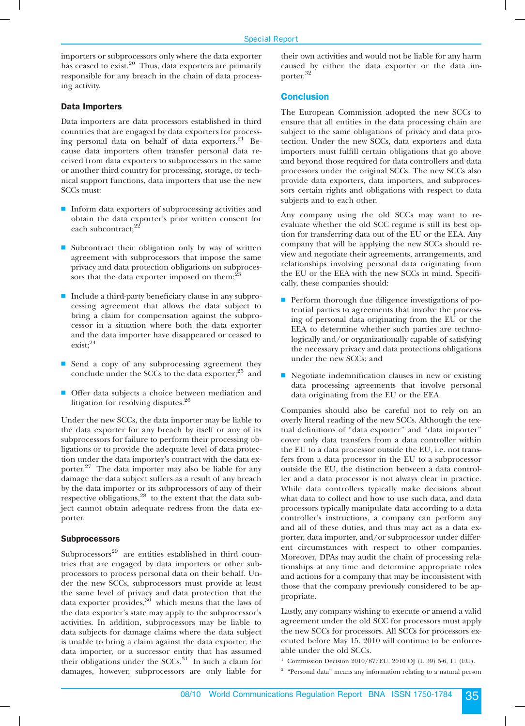importers or subprocessors only where the data exporter has ceased to exist.<sup>20</sup> Thus, data exporters are primarily responsible for any breach in the chain of data processing activity.

## **Data Importers**

Data importers are data processors established in third countries that are engaged by data exporters for processing personal data on behalf of data exporters.<sup>21</sup> Because data importers often transfer personal data received from data exporters to subprocessors in the same or another third country for processing, storage, or technical support functions, data importers that use the new SCCs must:

- $\blacksquare$  Inform data exporters of subprocessing activities and obtain the data exporter's prior written consent for each subcontract;<sup>22</sup>
- Subcontract their obligation only by way of written agreement with subprocessors that impose the same privacy and data protection obligations on subprocessors that the data exporter imposed on them; $^{23}$
- s Include a third-party beneficiary clause in any subprocessing agreement that allows the data subject to bring a claim for compensation against the subprocessor in a situation where both the data exporter and the data importer have disappeared or ceased to exist;<sup>24</sup>
- Send a copy of any subprocessing agreement they conclude under the SCCs to the data exporter;<sup>25</sup> and
- **Offer data subjects a choice between mediation and** litigation for resolving disputes.<sup>26</sup>

Under the new SCCs, the data importer may be liable to the data exporter for any breach by itself or any of its subprocessors for failure to perform their processing obligations or to provide the adequate level of data protection under the data importer's contract with the data exporter.<sup>27</sup> The data importer may also be liable for any damage the data subject suffers as a result of any breach by the data importer or its subprocessors of any of their respective obligations, $28$  to the extent that the data subject cannot obtain adequate redress from the data exporter.

#### **Subprocessors**

Subprocessors<sup>29</sup> are entities established in third countries that are engaged by data importers or other subprocessors to process personal data on their behalf. Under the new SCCs, subprocessors must provide at least the same level of privacy and data protection that the data exporter provides, $30$  which means that the laws of the data exporter's state may apply to the subprocessor's activities. In addition, subprocessors may be liable to data subjects for damage claims where the data subject is unable to bring a claim against the data exporter, the data importer, or a successor entity that has assumed their obligations under the  $SCCs$ .<sup>31</sup> In such a claim for damages, however, subprocessors are only liable for

their own activities and would not be liable for any harm caused by either the data exporter or the data importer. 32

# **Conclusion**

The European Commission adopted the new SCCs to ensure that all entities in the data processing chain are subject to the same obligations of privacy and data protection. Under the new SCCs, data exporters and data importers must fulfill certain obligations that go above and beyond those required for data controllers and data processors under the original SCCs. The new SCCs also provide data exporters, data importers, and subprocessors certain rights and obligations with respect to data subjects and to each other.

Any company using the old SCCs may want to reevaluate whether the old SCC regime is still its best option for transferring data out of the EU or the EEA. Any company that will be applying the new SCCs should review and negotiate their agreements, arrangements, and relationships involving personal data originating from the EU or the EEA with the new SCCs in mind. Specifically, these companies should:

- $\blacksquare$  Perform thorough due diligence investigations of potential parties to agreements that involve the processing of personal data originating from the EU or the EEA to determine whether such parties are technologically and/or organizationally capable of satisfying the necessary privacy and data protections obligations under the new SCCs; and
- $\blacksquare$  Negotiate indemnification clauses in new or existing data processing agreements that involve personal data originating from the EU or the EEA.

Companies should also be careful not to rely on an overly literal reading of the new SCCs. Although the textual definitions of ''data exporter'' and ''data importer'' cover only data transfers from a data controller within the EU to a data processor outside the EU, i.e. not transfers from a data processor in the EU to a subprocessor outside the EU, the distinction between a data controller and a data processor is not always clear in practice. While data controllers typically make decisions about what data to collect and how to use such data, and data processors typically manipulate data according to a data controller's instructions, a company can perform any and all of these duties, and thus may act as a data exporter, data importer, and/or subprocessor under different circumstances with respect to other companies. Moreover, DPAs may audit the chain of processing relationships at any time and determine appropriate roles and actions for a company that may be inconsistent with those that the company previously considered to be appropriate.

Lastly, any company wishing to execute or amend a valid agreement under the old SCC for processors must apply the new SCCs for processors. All SCCs for processors executed before May 15, 2010 will continue to be enforceable under the old SCCs.

- Commission Decision 2010/87/EU, 2010 OJ (L 39) 5-6, 11 (EU).
- <sup>2</sup> "Personal data" means any information relating to a natural person